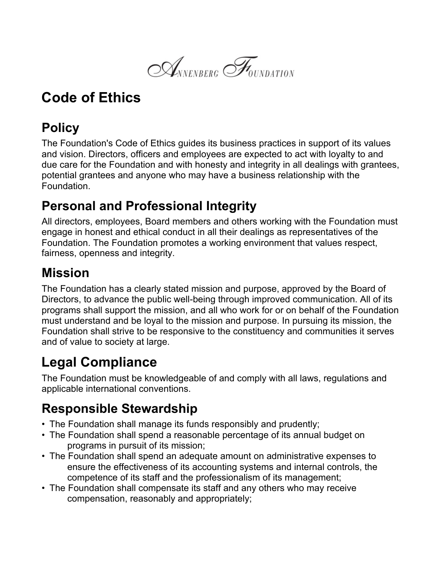$\mathcal{A}_{NNENBERG}$   $\mathcal{F}_{\text{ONDATAON}}$ 

# **Code of Ethics**

## **Policy**

The Foundation's Code of Ethics guides its business practices in support of its values and vision. Directors, officers and employees are expected to act with loyalty to and due care for the Foundation and with honesty and integrity in all dealings with grantees, potential grantees and anyone who may have a business relationship with the Foundation.

#### **Personal and Professional Integrity**

All directors, employees, Board members and others working with the Foundation must engage in honest and ethical conduct in all their dealings as representatives of the Foundation. The Foundation promotes a working environment that values respect, fairness, openness and integrity.

#### **Mission**

The Foundation has a clearly stated mission and purpose, approved by the Board of Directors, to advance the public well-being through improved communication. All of its programs shall support the mission, and all who work for or on behalf of the Foundation must understand and be loyal to the mission and purpose. In pursuing its mission, the Foundation shall strive to be responsive to the constituency and communities it serves and of value to society at large.

# **Legal Compliance**

The Foundation must be knowledgeable of and comply with all laws, regulations and applicable international conventions.

## **Responsible Stewardship**

- The Foundation shall manage its funds responsibly and prudently;
- The Foundation shall spend a reasonable percentage of its annual budget on programs in pursuit of its mission;
- The Foundation shall spend an adequate amount on administrative expenses to ensure the effectiveness of its accounting systems and internal controls, the competence of its staff and the professionalism of its management;
- The Foundation shall compensate its staff and any others who may receive compensation, reasonably and appropriately;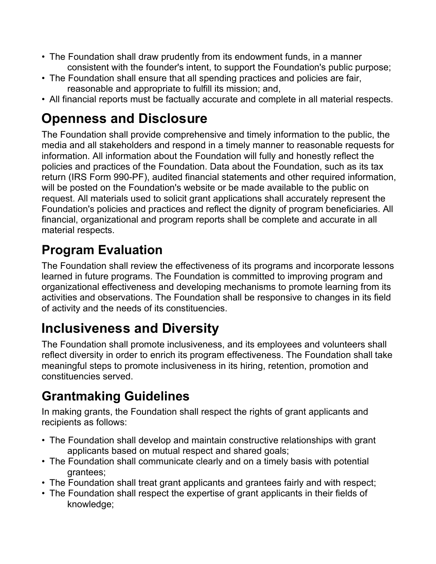- The Foundation shall draw prudently from its endowment funds, in a manner consistent with the founder's intent, to support the Foundation's public purpose;
- The Foundation shall ensure that all spending practices and policies are fair, reasonable and appropriate to fulfill its mission; and,
- All financial reports must be factually accurate and complete in all material respects.

## **Openness and Disclosure**

The Foundation shall provide comprehensive and timely information to the public, the media and all stakeholders and respond in a timely manner to reasonable requests for information. All information about the Foundation will fully and honestly reflect the policies and practices of the Foundation. Data about the Foundation, such as its tax return (IRS Form 990-PF), audited financial statements and other required information, will be posted on the Foundation's website or be made available to the public on request. All materials used to solicit grant applications shall accurately represent the Foundation's policies and practices and reflect the dignity of program beneficiaries. All financial, organizational and program reports shall be complete and accurate in all material respects.

#### **Program Evaluation**

The Foundation shall review the effectiveness of its programs and incorporate lessons learned in future programs. The Foundation is committed to improving program and organizational effectiveness and developing mechanisms to promote learning from its activities and observations. The Foundation shall be responsive to changes in its field of activity and the needs of its constituencies.

# **Inclusiveness and Diversity**

The Foundation shall promote inclusiveness, and its employees and volunteers shall reflect diversity in order to enrich its program effectiveness. The Foundation shall take meaningful steps to promote inclusiveness in its hiring, retention, promotion and constituencies served.

## **Grantmaking Guidelines**

In making grants, the Foundation shall respect the rights of grant applicants and recipients as follows:

- The Foundation shall develop and maintain constructive relationships with grant applicants based on mutual respect and shared goals;
- The Foundation shall communicate clearly and on a timely basis with potential grantees;
- The Foundation shall treat grant applicants and grantees fairly and with respect;
- The Foundation shall respect the expertise of grant applicants in their fields of knowledge;